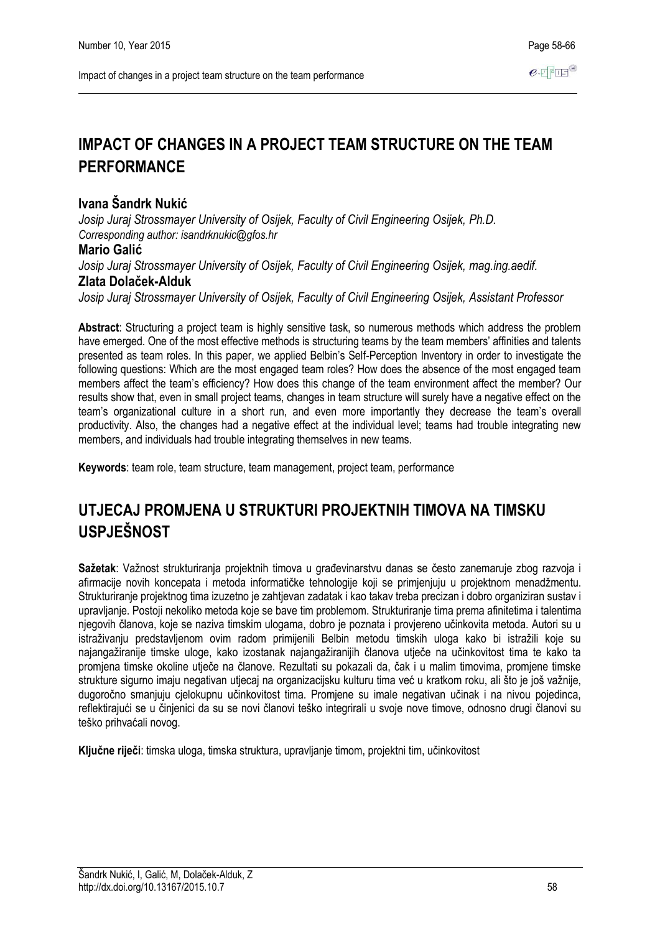# **IMPACT OF CHANGES IN A PROJECT TEAM STRUCTURE ON THE TEAM PERFORMANCE**

## **Ivana Šandrk Nukić**

*Josip Juraj Strossmayer University of Osijek, Faculty of Civil Engineering Osijek, Ph.D. Corresponding author: isandrknukic@gfos.hr*

### **Mario Galić**

*Josip Juraj Strossmayer University of Osijek, Faculty of Civil Engineering Osijek, mag.ing.aedif.* **Zlata Dolaček-Alduk**

*Josip Juraj Strossmayer University of Osijek, Faculty of Civil Engineering Osijek, Assistant Professor*

**Abstract**: Structuring a project team is highly sensitive task, so numerous methods which address the problem have emerged. One of the most effective methods is structuring teams by the team members' affinities and talents presented as team roles. In this paper, we applied Belbin's Self-Perception Inventory in order to investigate the following questions: Which are the most engaged team roles? How does the absence of the most engaged team members affect the team's efficiency? How does this change of the team environment affect the member? Our results show that, even in small project teams, changes in team structure will surely have a negative effect on the team's organizational culture in a short run, and even more importantly they decrease the team's overall productivity. Also, the changes had a negative effect at the individual level; teams had trouble integrating new members, and individuals had trouble integrating themselves in new teams.

**Keywords**: team role, team structure, team management, project team, performance

# **UTJECAJ PROMJENA U STRUKTURI PROJEKTNIH TIMOVA NA TIMSKU USPJEŠNOST**

**Sažetak**: Važnost strukturiranja projektnih timova u građevinarstvu danas se često zanemaruje zbog razvoja i afirmacije novih koncepata i metoda informatičke tehnologije koji se primjenjuju u projektnom menadžmentu. Strukturiranje projektnog tima izuzetno je zahtjevan zadatak i kao takav treba precizan i dobro organiziran sustav i upravljanje. Postoji nekoliko metoda koje se bave tim problemom. Strukturiranje tima prema afinitetima i talentima njegovih članova, koje se naziva timskim ulogama, dobro je poznata i provjereno učinkovita metoda. Autori su u istraživanju predstavljenom ovim radom primijenili Belbin metodu timskih uloga kako bi istražili koje su najangažiranije timske uloge, kako izostanak najangažiranijih članova utječe na učinkovitost tima te kako ta promjena timske okoline utječe na članove. Rezultati su pokazali da, čak i u malim timovima, promjene timske strukture sigurno imaju negativan utjecaj na organizacijsku kulturu tima već u kratkom roku, ali što je još važnije, dugoročno smanjuju cjelokupnu učinkovitost tima. Promjene su imale negativan učinak i na nivou pojedinca, reflektirajući se u činjenici da su se novi članovi teško integrirali u svoje nove timove, odnosno drugi članovi su teško prihvaćali novog.

**Ključne riječi**: timska uloga, timska struktura, upravljanje timom, projektni tim, učinkovitost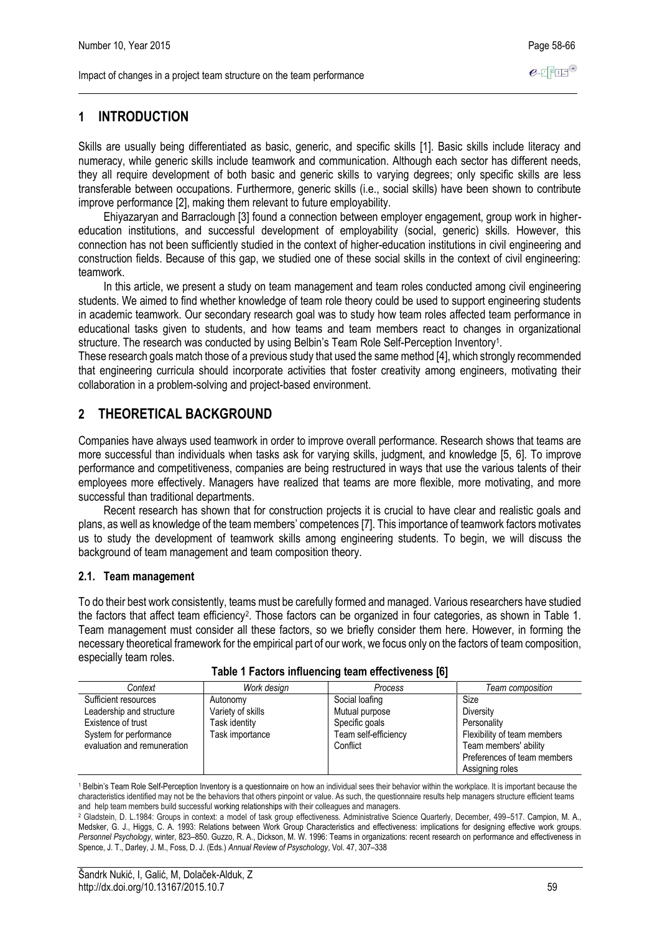# **1 INTRODUCTION**

Skills are usually being differentiated as basic, generic, and specific skills [1]. Basic skills include literacy and numeracy, while generic skills include teamwork and communication. Although each sector has different needs, they all require development of both basic and generic skills to varying degrees; only specific skills are less transferable between occupations. Furthermore, generic skills (i.e., social skills) have been shown to contribute improve performance [2], making them relevant to future employability.

Ehiyazaryan and Barraclough [3] found a connection between employer engagement, group work in highereducation institutions, and successful development of employability (social, generic) skills. However, this connection has not been sufficiently studied in the context of higher-education institutions in civil engineering and construction fields. Because of this gap, we studied one of these social skills in the context of civil engineering: teamwork.

In this article, we present a study on team management and team roles conducted among civil engineering students. We aimed to find whether knowledge of team role theory could be used to support engineering students in academic teamwork. Our secondary research goal was to study how team roles affected team performance in educational tasks given to students, and how teams and team members react to changes in organizational structure. The research was conducted by using Belbin's Team Role Self-Perception Inventory<sup>1</sup>.

These research goals match those of a previous study that used the same method [4], which strongly recommended that engineering curricula should incorporate activities that foster creativity among engineers, motivating their collaboration in a problem-solving and project-based environment.

## **2 THEORETICAL BACKGROUND**

Companies have always used teamwork in order to improve overall performance. Research shows that teams are more successful than individuals when tasks ask for varying skills, judgment, and knowledge [5, 6]. To improve performance and competitiveness, companies are being restructured in ways that use the various talents of their employees more effectively. Managers have realized that teams are more flexible, more motivating, and more successful than traditional departments.

Recent research has shown that for construction projects it is crucial to have clear and realistic goals and plans, as well as knowledge of the team members' competences [7]. This importance of teamwork factors motivates us to study the development of teamwork skills among engineering students. To begin, we will discuss the background of team management and team composition theory.

### **2.1. Team management**

To do their best work consistently, teams must be carefully formed and managed. Various researchers have studied the factors that affect team efficiency<sup>2</sup>. Those factors can be organized in four categories, as shown in Table 1. Team management must consider all these factors, so we briefly consider them here. However, in forming the necessary theoretical framework for the empirical part of our work, we focus only on the factors of team composition, especially team roles.

| Context                                                                                                                         | Work design                                                       | Process                                                                                | Team composition                                                                                                                           |
|---------------------------------------------------------------------------------------------------------------------------------|-------------------------------------------------------------------|----------------------------------------------------------------------------------------|--------------------------------------------------------------------------------------------------------------------------------------------|
| Sufficient resources<br>Leadership and structure<br>Existence of trust<br>System for performance<br>evaluation and remuneration | Autonomy<br>Variety of skills<br>Task identity<br>Task importance | Social loafing<br>Mutual purpose<br>Specific goals<br>Team self-efficiency<br>Conflict | Size<br>Diversity<br>Personality<br>Flexibility of team members<br>Team members' ability<br>Preferences of team members<br>Assigning roles |

<sup>1</sup> Belbin's Team Role Self-Perception Inventory is a questionnaire on how an individual sees their behavior within the workplace. It is important because the characteristics identified may not be the behaviors that others pinpoint or value. As such, the questionnaire results help managers structure efficient teams and help team members build successful working relationships with their colleagues and managers.

<sup>2</sup> Gladstein, D. L.1984: Groups in context: a model of task group effectiveness. Administrative Science Quarterly, December, 499–517. Campion, M. A., Medsker, G. J., Higgs, C. A. 1993: Relations between Work Group Characteristics and effectiveness: implications for designing effective work groups. *Personnel Psychology*, winter, 823–850. Guzzo, R. A., Dickson, M. W. 1996: Teams in organizations: recent research on performance and effectiveness in Spence, J. T., Darley, J. M., Foss, D. J. (Eds.) *Annual Review of Psyschology*, Vol. 47, 307–338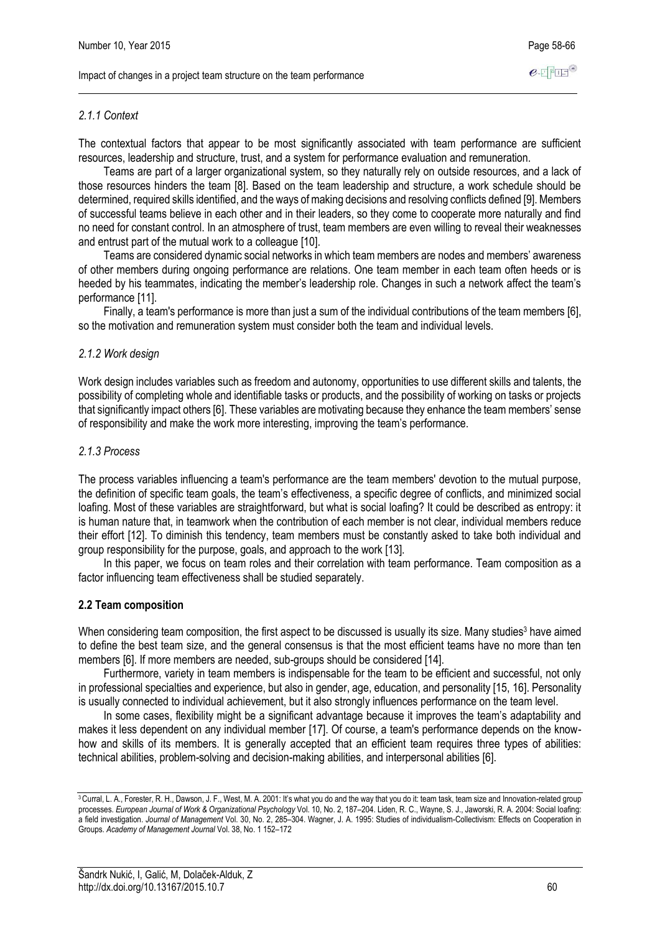### *2.1.1 Context*

The contextual factors that appear to be most significantly associated with team performance are sufficient resources, leadership and structure, trust, and a system for performance evaluation and remuneration.

Teams are part of a larger organizational system, so they naturally rely on outside resources, and a lack of those resources hinders the team [8]. Based on the team leadership and structure, a work schedule should be determined, required skills identified, and the ways of making decisions and resolving conflicts defined [9]. Members of successful teams believe in each other and in their leaders, so they come to cooperate more naturally and find no need for constant control. In an atmosphere of trust, team members are even willing to reveal their weaknesses and entrust part of the mutual work to a colleague [10].

Teams are considered dynamic social networks in which team members are nodes and members' awareness of other members during ongoing performance are relations. One team member in each team often heeds or is heeded by his teammates, indicating the member's leadership role. Changes in such a network affect the team's performance [11].

Finally, a team's performance is more than just a sum of the individual contributions of the team members [6], so the motivation and remuneration system must consider both the team and individual levels.

#### *2.1.2 Work design*

Work design includes variables such as freedom and autonomy, opportunities to use different skills and talents, the possibility of completing whole and identifiable tasks or products, and the possibility of working on tasks or projects that significantly impact others [6]. These variables are motivating because they enhance the team members' sense of responsibility and make the work more interesting, improving the team's performance.

#### *2.1.3 Process*

The process variables influencing a team's performance are the team members' devotion to the mutual purpose, the definition of specific team goals, the team's effectiveness, a specific degree of conflicts, and minimized social loafing. Most of these variables are straightforward, but what is social loafing? It could be described as entropy: it is human nature that, in teamwork when the contribution of each member is not clear, individual members reduce their effort [12]. To diminish this tendency, team members must be constantly asked to take both individual and group responsibility for the purpose, goals, and approach to the work [13].

In this paper, we focus on team roles and their correlation with team performance. Team composition as a factor influencing team effectiveness shall be studied separately.

### **2.2 Team composition**

When considering team composition, the first aspect to be discussed is usually its size. Many studies<sup>3</sup> have aimed to define the best team size, and the general consensus is that the most efficient teams have no more than ten members [6]. If more members are needed, sub-groups should be considered [14].

Furthermore, variety in team members is indispensable for the team to be efficient and successful, not only in professional specialties and experience, but also in gender, age, education, and personality [15, 16]. Personality is usually connected to individual achievement, but it also strongly influences performance on the team level.

In some cases, flexibility might be a significant advantage because it improves the team's adaptability and makes it less dependent on any individual member [17]. Of course, a team's performance depends on the knowhow and skills of its members. It is generally accepted that an efficient team requires three types of abilities: technical abilities, problem-solving and decision-making abilities, and interpersonal abilities [6].

<sup>&</sup>lt;sup>3</sup> Curral, L. A., Forester, R. H., Dawson, J. F., West, M. A. 2001: It's what you do and the way that you do it: team task, team size and Innovation-related group processes. *European Journal of Work & Organizational Psychology* Vol. 10, No. 2, 187–204. Liden, R. C., Wayne, S. J., Jaworski, R. A. 2004: Social loafing: a field investigation. *Journal of Management* Vol. 30, No. 2, 285–304. Wagner, J. A. 1995: Studies of individualism-Collectivism: Effects on Cooperation in Groups. *Academy of Management Journal* Vol. 38, No. 1 152–172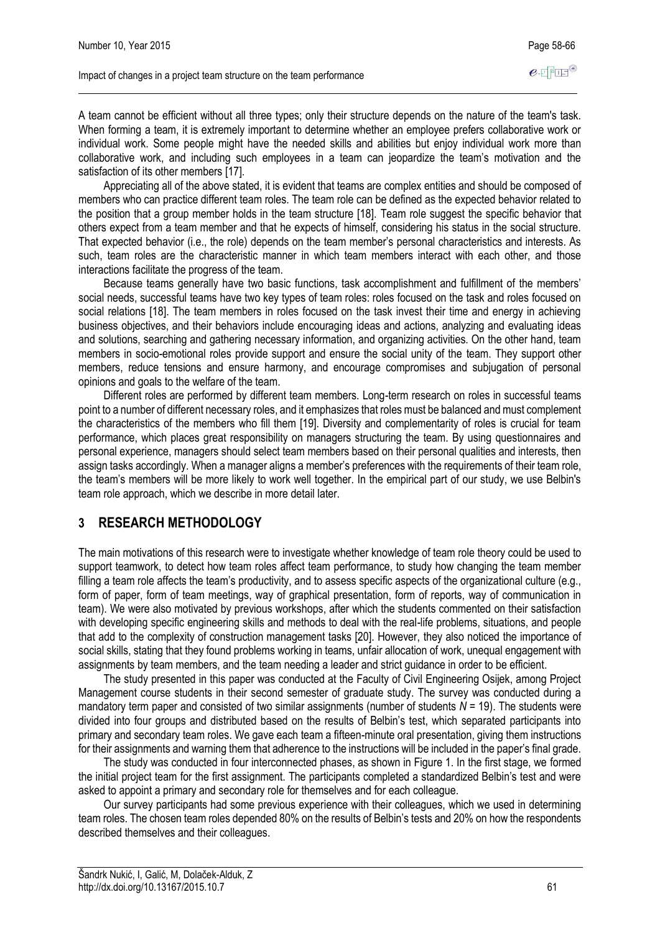A team cannot be efficient without all three types; only their structure depends on the nature of the team's task. When forming a team, it is extremely important to determine whether an employee prefers collaborative work or individual work. Some people might have the needed skills and abilities but enjoy individual work more than collaborative work, and including such employees in a team can jeopardize the team's motivation and the satisfaction of its other members [17].

Appreciating all of the above stated, it is evident that teams are complex entities and should be composed of members who can practice different team roles. The team role can be defined as the expected behavior related to the position that a group member holds in the team structure [18]. Team role suggest the specific behavior that others expect from a team member and that he expects of himself, considering his status in the social structure. That expected behavior (i.e., the role) depends on the team member's personal characteristics and interests. As such, team roles are the characteristic manner in which team members interact with each other, and those interactions facilitate the progress of the team.

Because teams generally have two basic functions, task accomplishment and fulfillment of the members' social needs, successful teams have two key types of team roles: roles focused on the task and roles focused on social relations [18]. The team members in roles focused on the task invest their time and energy in achieving business objectives, and their behaviors include encouraging ideas and actions, analyzing and evaluating ideas and solutions, searching and gathering necessary information, and organizing activities. On the other hand, team members in socio-emotional roles provide support and ensure the social unity of the team. They support other members, reduce tensions and ensure harmony, and encourage compromises and subjugation of personal opinions and goals to the welfare of the team.

Different roles are performed by different team members. Long-term research on roles in successful teams point to a number of different necessary roles, and it emphasizes that roles must be balanced and must complement the characteristics of the members who fill them [19]. Diversity and complementarity of roles is crucial for team performance, which places great responsibility on managers structuring the team. By using questionnaires and personal experience, managers should select team members based on their personal qualities and interests, then assign tasks accordingly. When a manager aligns a member's preferences with the requirements of their team role, the team's members will be more likely to work well together. In the empirical part of our study, we use Belbin's team role approach, which we describe in more detail later.

### **3 RESEARCH METHODOLOGY**

The main motivations of this research were to investigate whether knowledge of team role theory could be used to support teamwork, to detect how team roles affect team performance, to study how changing the team member filling a team role affects the team's productivity, and to assess specific aspects of the organizational culture (e.g., form of paper, form of team meetings, way of graphical presentation, form of reports, way of communication in team). We were also motivated by previous workshops, after which the students commented on their satisfaction with developing specific engineering skills and methods to deal with the real-life problems, situations, and people that add to the complexity of construction management tasks [20]. However, they also noticed the importance of social skills, stating that they found problems working in teams, unfair allocation of work, unequal engagement with assignments by team members, and the team needing a leader and strict guidance in order to be efficient.

The study presented in this paper was conducted at the Faculty of Civil Engineering Osijek, among Project Management course students in their second semester of graduate study. The survey was conducted during a mandatory term paper and consisted of two similar assignments (number of students  $N = 19$ ). The students were divided into four groups and distributed based on the results of Belbin's test, which separated participants into primary and secondary team roles. We gave each team a fifteen-minute oral presentation, giving them instructions for their assignments and warning them that adherence to the instructions will be included in the paper's final grade.

The study was conducted in four interconnected phases, as shown in Figure 1. In the first stage, we formed the initial project team for the first assignment. The participants completed a standardized Belbin's test and were asked to appoint a primary and secondary role for themselves and for each colleague.

Our survey participants had some previous experience with their colleagues, which we used in determining team roles. The chosen team roles depended 80% on the results of Belbin's tests and 20% on how the respondents described themselves and their colleagues.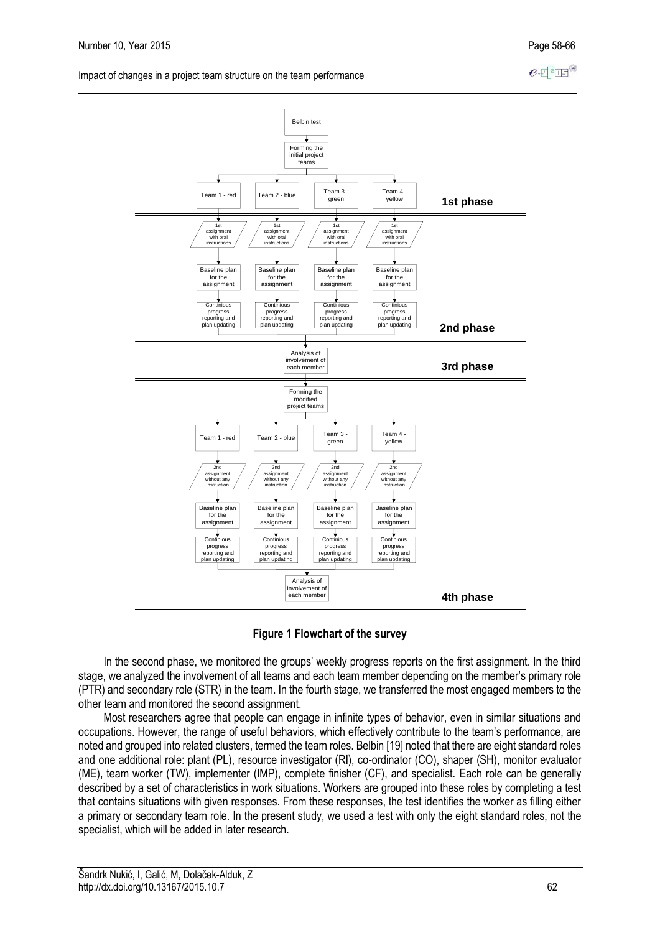$e$ -FFFF<sup>®</sup>

Impact of changes in a project team structure on the team performance



**Figure 1 Flowchart of the survey**

In the second phase, we monitored the groups' weekly progress reports on the first assignment. In the third stage, we analyzed the involvement of all teams and each team member depending on the member's primary role (PTR) and secondary role (STR) in the team. In the fourth stage, we transferred the most engaged members to the other team and monitored the second assignment.

Most researchers agree that people can engage in infinite types of behavior, even in similar situations and occupations. However, the range of useful behaviors, which effectively contribute to the team's performance, are noted and grouped into related clusters, termed the team roles. Belbin [19] noted that there are eight standard roles and one additional role: plant (PL), resource investigator (RI), co-ordinator (CO), shaper (SH), monitor evaluator (ME), team worker (TW), implementer (IMP), complete finisher (CF), and specialist. Each role can be generally described by a set of characteristics in work situations. Workers are grouped into these roles by completing a test that contains situations with given responses. From these responses, the test identifies the worker as filling either a primary or secondary team role. In the present study, we used a test with only the eight standard roles, not the specialist, which will be added in later research.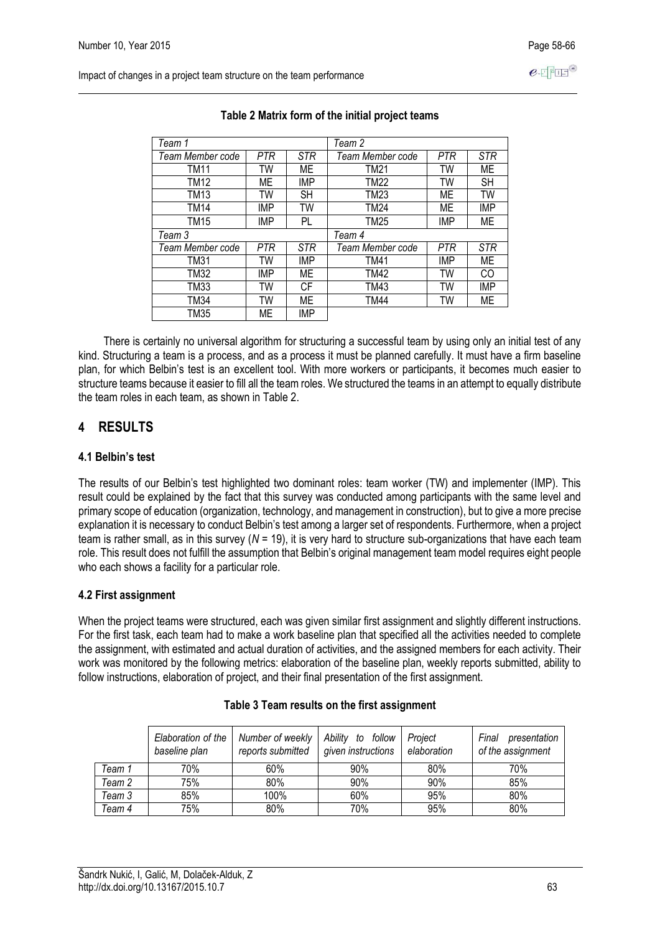Impact of changes in a project team structure on the team performance

| Team 1           |            |            | Team 2           |            |            |
|------------------|------------|------------|------------------|------------|------------|
| Team Member code | PTR        | <b>STR</b> | Team Member code | <b>PTR</b> | <b>STR</b> |
| TM11             | TW         | ME         | TM21             | TW         | ME         |
| TM12             | <b>ME</b>  | IMP        | TM22             | TW         | <b>SH</b>  |
| TM13             | TW         | <b>SH</b>  | <b>TM23</b>      | ME         | TW         |
| TM14             | <b>IMP</b> | TW         | TM24             | МE         | <b>IMP</b> |
| TM15             | <b>IMP</b> | PL         | TM25             | IMP        | ME         |
| Team 3           |            |            | Team 4           |            |            |
| Team Member code | PTR        | <b>STR</b> | Team Member code | PTR        | <b>STR</b> |
| <b>TM31</b>      | TW         | <b>IMP</b> | <b>TM41</b>      | <b>IMP</b> | МE         |
| TM32             | <b>IMP</b> | МE         | <b>TM42</b>      | TW         | CO         |
| TM33             | TW         | СF         | TM43             | TW         | IMP        |
| TM34             | TW         | МE         | <b>TM44</b>      | TW         | ME         |
| TM35             | ME         | <b>IMP</b> |                  |            |            |

### **Table 2 Matrix form of the initial project teams**

There is certainly no universal algorithm for structuring a successful team by using only an initial test of any kind. Structuring a team is a process, and as a process it must be planned carefully. It must have a firm baseline plan, for which Belbin's test is an excellent tool. With more workers or participants, it becomes much easier to structure teams because it easier to fill all the team roles. We structured the teams in an attempt to equally distribute the team roles in each team, as shown in Table 2.

## **4 RESULTS**

### **4.1 Belbin's test**

The results of our Belbin's test highlighted two dominant roles: team worker (TW) and implementer (IMP). This result could be explained by the fact that this survey was conducted among participants with the same level and primary scope of education (organization, technology, and management in construction), but to give a more precise explanation it is necessary to conduct Belbin's test among a larger set of respondents. Furthermore, when a project team is rather small, as in this survey (*N* = 19), it is very hard to structure sub-organizations that have each team role. This result does not fulfill the assumption that Belbin's original management team model requires eight people who each shows a facility for a particular role.

### **4.2 First assignment**

When the project teams were structured, each was given similar first assignment and slightly different instructions. For the first task, each team had to make a work baseline plan that specified all the activities needed to complete the assignment, with estimated and actual duration of activities, and the assigned members for each activity. Their work was monitored by the following metrics: elaboration of the baseline plan, weekly reports submitted, ability to follow instructions, elaboration of project, and their final presentation of the first assignment.

|        | Elaboration of the<br>baseline plan | Number of weekly<br>reports submitted | Ability to<br>follow<br>given instructions | Project<br>elaboration | Final<br>presentation<br>of the assignment |
|--------|-------------------------------------|---------------------------------------|--------------------------------------------|------------------------|--------------------------------------------|
| Team 1 | 70%                                 | 60%                                   | 90%                                        | 80%                    | 70%                                        |
| Team 2 | 75%                                 | 80%                                   | 90%                                        | 90%                    | 85%                                        |
| Team 3 | 85%                                 | 100%                                  | 60%                                        | 95%                    | 80%                                        |
| Team 4 | 75%                                 | 80%                                   | 70%                                        | 95%                    | 80%                                        |

### **Table 3 Team results on the first assignment**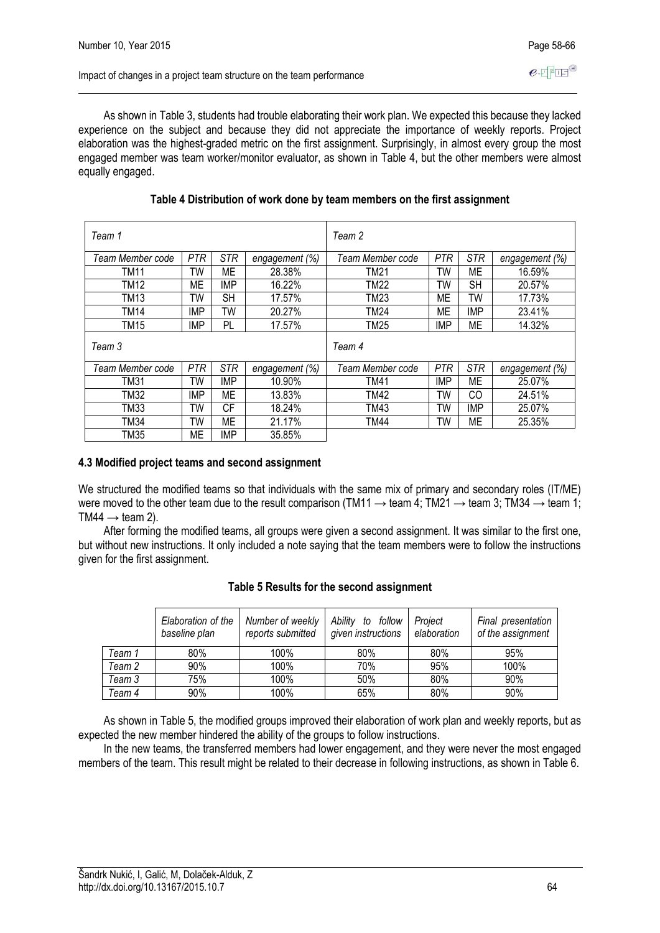As shown in Table 3, students had trouble elaborating their work plan. We expected this because they lacked experience on the subject and because they did not appreciate the importance of weekly reports. Project elaboration was the highest-graded metric on the first assignment. Surprisingly, in almost every group the most engaged member was team worker/monitor evaluator, as shown in Table 4, but the other members were almost equally engaged.

| Team 1           |            |            |                | Team 2           |            |            |                |
|------------------|------------|------------|----------------|------------------|------------|------------|----------------|
| Team Member code | <b>PTR</b> | <b>STR</b> | engagement (%) | Team Member code | <b>PTR</b> | <b>STR</b> | engagement (%) |
| TM11             | TW         | ME         | 28.38%         | TM21             | TW         | МE         | 16.59%         |
| <b>TM12</b>      | ME         | <b>IMP</b> | 16.22%         | <b>TM22</b>      | TW         | <b>SH</b>  | 20.57%         |
| TM13             | TW         | <b>SH</b>  | 17.57%         | TM23             | МE         | TW         | 17.73%         |
| <b>TM14</b>      | <b>IMP</b> | TW         | 20.27%         | <b>TM24</b>      | МE         | <b>IMP</b> | 23.41%         |
| <b>TM15</b>      | <b>IMP</b> | PL         | 17.57%         | <b>TM25</b>      | IMP        | ME         | 14.32%         |
| Team 3           |            |            |                | Team 4           |            |            |                |
| Team Member code | <b>PTR</b> | STR        | engagement (%) | Team Member code | PTR        | <b>STR</b> | engagement (%) |
| <b>TM31</b>      | TW         | <b>IMP</b> | 10.90%         | <b>TM41</b>      | <b>IMP</b> | МE         | 25.07%         |
| TM32             | <b>IMP</b> | <b>ME</b>  | 13.83%         | TM42             | TW         | CO         | 24.51%         |
| TM33             | TW         | <b>CF</b>  | 18.24%         | TM43             | TW         | <b>IMP</b> | 25.07%         |
| <b>TM34</b>      | TW         | МE         | 21.17%         | <b>TM44</b>      | TW         | МE         | 25.35%         |
| <b>TM35</b>      | ME         | IMP        | 35.85%         |                  |            |            |                |

### **Table 4 Distribution of work done by team members on the first assignment**

### **4.3 Modified project teams and second assignment**

We structured the modified teams so that individuals with the same mix of primary and secondary roles (IT/ME) were moved to the other team due to the result comparison (TM11  $\rightarrow$  team 4; TM21  $\rightarrow$  team 3; TM34  $\rightarrow$  team 1; TM44  $\rightarrow$  team 2).

After forming the modified teams, all groups were given a second assignment. It was similar to the first one, but without new instructions. It only included a note saying that the team members were to follow the instructions given for the first assignment.

|        | Elaboration of the<br>baseline plan | Number of weekly<br>reports submitted | Ability to<br>follow<br>given instructions | Project<br>elaboration | Final presentation<br>of the assignment |
|--------|-------------------------------------|---------------------------------------|--------------------------------------------|------------------------|-----------------------------------------|
| Team 1 | 80%                                 | 100%                                  | 80%                                        | 80%                    | 95%                                     |
| Team 2 | 90%                                 | 100%                                  | 70%                                        | 95%                    | 100%                                    |
| Team 3 | 75%                                 | 100%                                  | 50%                                        | 80%                    | 90%                                     |
| Team 4 | 90%                                 | 100%                                  | 65%                                        | 80%                    | 90%                                     |

### **Table 5 Results for the second assignment**

As shown in Table 5, the modified groups improved their elaboration of work plan and weekly reports, but as expected the new member hindered the ability of the groups to follow instructions.

In the new teams, the transferred members had lower engagement, and they were never the most engaged members of the team. This result might be related to their decrease in following instructions, as shown in Table 6.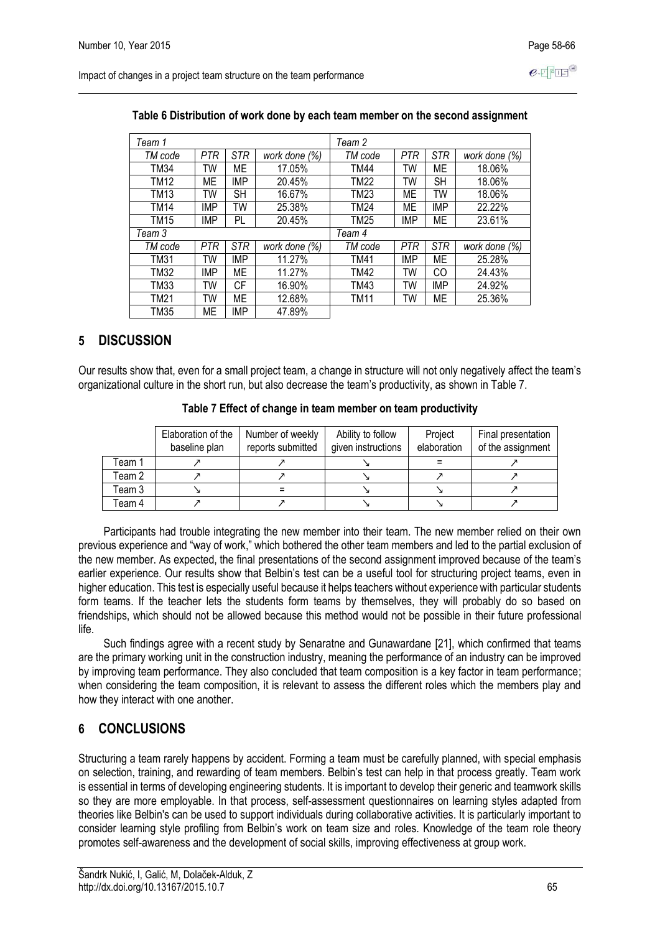Impact of changes in a project team structure on the team performance

| Team 1      |            |            |               | Team 2  |            |            |               |
|-------------|------------|------------|---------------|---------|------------|------------|---------------|
| TM code     | PTR        | <b>STR</b> | work done (%) | TM code | <b>PTR</b> | <b>STR</b> | work done (%) |
| TM34        | TW         | MЕ         | 17.05%        | TM44    | TW         | МE         | 18.06%        |
| TM12        | ME         | <b>IMP</b> | 20.45%        | TM22    | TW         | <b>SH</b>  | 18.06%        |
| TM13        | TW         | SН         | 16.67%        | TM23    | ME         | TW         | 18.06%        |
| <b>TM14</b> | <b>IMP</b> | TW         | 25.38%        | TM24    | <b>ME</b>  | <b>IMP</b> | 22.22%        |
| <b>TM15</b> | IMP        | PL         | 20.45%        | TM25    | IMP        | ME         | 23.61%        |
| Team 3      |            |            |               | Team 4  |            |            |               |
| TM code     | PTR        | <b>STR</b> | work done (%) | TM code | <b>PTR</b> | <b>STR</b> | work done (%) |
| TM31        | TW         | <b>IMP</b> | 11.27%        | TM41    | IMP        | ME         | 25.28%        |
| TM32        | IMP        | MЕ         | 11.27%        | TM42    | TW         | CO         | 24.43%        |
| TM33        | TW         | СF         | 16.90%        | TM43    | TW         | <b>IMP</b> | 24.92%        |
| TM21        | TW         | MЕ         | 12.68%        | TM11    | TW         | МE         | 25.36%        |
| <b>TM35</b> | МE         | <b>IMP</b> | 47.89%        |         |            |            |               |

#### **Table 6 Distribution of work done by each team member on the second assignment**

### **5 DISCUSSION**

Our results show that, even for a small project team, a change in structure will not only negatively affect the team's organizational culture in the short run, but also decrease the team's productivity, as shown in Table 7.

|        | Elaboration of the<br>baseline plan | Number of weekly<br>reports submitted | Ability to follow<br>given instructions | Project<br>elaboration | Final presentation<br>of the assignment |
|--------|-------------------------------------|---------------------------------------|-----------------------------------------|------------------------|-----------------------------------------|
| Team 1 |                                     |                                       |                                         |                        |                                         |
| Team 2 |                                     |                                       |                                         |                        |                                         |
| Team 3 |                                     |                                       |                                         |                        |                                         |
| Team 4 |                                     |                                       |                                         |                        |                                         |

**Table 7 Effect of change in team member on team productivity**

Participants had trouble integrating the new member into their team. The new member relied on their own previous experience and "way of work," which bothered the other team members and led to the partial exclusion of the new member. As expected, the final presentations of the second assignment improved because of the team's earlier experience. Our results show that Belbin's test can be a useful tool for structuring project teams, even in higher education. This test is especially useful because it helps teachers without experience with particular students form teams. If the teacher lets the students form teams by themselves, they will probably do so based on friendships, which should not be allowed because this method would not be possible in their future professional life.

Such findings agree with a recent study by Senaratne and Gunawardane [21], which confirmed that teams are the primary working unit in the construction industry, meaning the performance of an industry can be improved by improving team performance. They also concluded that team composition is a key factor in team performance; when considering the team composition, it is relevant to assess the different roles which the members play and how they interact with one another.

### **6 CONCLUSIONS**

Structuring a team rarely happens by accident. Forming a team must be carefully planned, with special emphasis on selection, training, and rewarding of team members. Belbin's test can help in that process greatly. Team work is essential in terms of developing engineering students. It is important to develop their generic and teamwork skills so they are more employable. In that process, self-assessment questionnaires on learning styles adapted from theories like Belbin's can be used to support individuals during collaborative activities. It is particularly important to consider learning style profiling from Belbin's work on team size and roles. Knowledge of the team role theory promotes self-awareness and the development of social skills, improving effectiveness at group work.